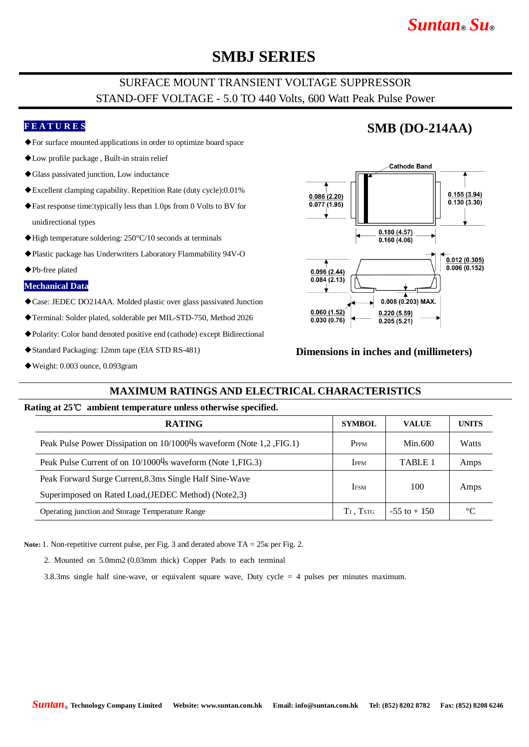# *Suntan***®** *Su***®**

## **SMBJ SERIES**

### SURFACE MOUNT TRANSIENT VOLTAGE SUPPRESSOR STAND-OFF VOLTAGE - 5.0 TO 440 Volts, 600 Watt Peak Pulse Power

### **F E A T U R E S**

- ◆For surface mounted applications in order to optimize board space
- ◆Low profile package , Built-in strain relief
- ◆Glass passivated junction, Low inductance
- ◆Excellent clamping capability. Repetition Rate (duty cycle):0.01%
- ◆Fast response time:typically less than 1.0ps from 0 Volts to BV for unidirectional types
- ◆High temperature soldering: 250°C/10 seconds at terminals
- ◆Plastic package has Underwriters Laboratory Flammability 94V-O
- ◆Pb-free plated

#### **Mechanical Data**

- ◆Case: JEDEC DO214AA. Molded plastic over glass passivated Junction
- ◆Terminal: Solder plated, solderable per MIL-STD-750, Method 2026
- ◆Polarity: Color band denoted positive end (cathode) except Bidirectional
- ◆Standard Packaging: 12mm tape (EIA STD RS-481)
- ◆Weight: 0.003 ounce, 0.093gram

## **SMB (DO-214AA)**



#### **Dimensions in inches and (millimeters)**

### **MAXIMUM RATINGS AND ELECTRICAL CHARACTERISTICS**

#### **Rating at 25**℃ **ambient temperature unless otherwise specified.**

| <b>RATING</b>                                                        | <b>SYMBOL</b>                     | <b>VALUE</b>    | <b>UNITS</b>    |
|----------------------------------------------------------------------|-----------------------------------|-----------------|-----------------|
| Peak Pulse Power Dissipation on 10/10004s waveform (Note 1,2, FIG.1) | P <sub>PPM</sub>                  | Min.600         | Watts           |
| Peak Pulse Current of on 10/10004s waveform (Note 1, FIG.3)          | Ippm                              | <b>TABLE 1</b>  | Amps            |
| Peak Forward Surge Current, 8.3ms Single Half Sine-Wave              |                                   | 100             | Amps            |
| Superimposed on Rated Load, (JEDEC Method) (Note2,3)                 | <b>IFSM</b>                       |                 |                 |
| Operating junction and Storage Temperature Range                     | T <sub>J</sub> , T <sub>STG</sub> | $-55$ to $+150$ | $\rm ^{\circ}C$ |

**Note:** 1. Non-repetitive current pulse, per Fig. 3 and derated above TA = 25к per Fig. 2.

2. Mounted on 5.0mm2 (0.03mm thick) Copper Pads to each terminal

3.8.3ms single half sine-wave, or equivalent square wave, Duty cycle = 4 pulses per minutes maximum.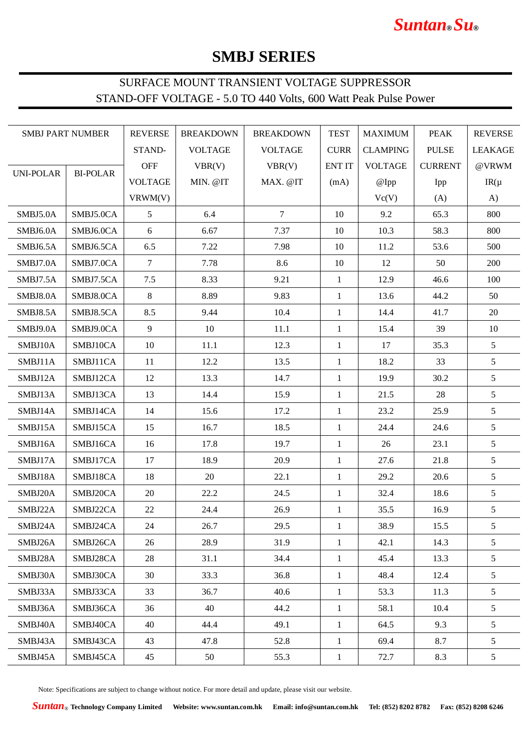# *Suntan***®** *Su***®**

# **SMBJ SERIES**

## SURFACE MOUNT TRANSIENT VOLTAGE SUPPRESSOR STAND-OFF VOLTAGE - 5.0 TO 440 Volts, 600 Watt Peak Pulse Power

| <b>SMBJ PART NUMBER</b>                 |            | <b>REVERSE</b> | <b>BREAKDOWN</b> | <b>BREAKDOWN</b> | <b>TEST</b>    | <b>MAXIMUM</b>  | <b>PEAK</b>  | <b>REVERSE</b>  |
|-----------------------------------------|------------|----------------|------------------|------------------|----------------|-----------------|--------------|-----------------|
|                                         |            | STAND-         | <b>VOLTAGE</b>   | <b>VOLTAGE</b>   | <b>CURR</b>    | <b>CLAMPING</b> | <b>PULSE</b> | <b>LEAKAGE</b>  |
| <b>UNI-POLAR</b><br><b>BI-POLAR</b>     | <b>OFF</b> | VBR(V)         | VBR(V)           | <b>ENT IT</b>    | <b>VOLTAGE</b> | <b>CURRENT</b>  | @VRWM        |                 |
|                                         |            | <b>VOLTAGE</b> | MIN. @IT         | MAX. @IT         | (mA)           | @Ipp            | Ipp          | $IR(\mu)$       |
|                                         |            | VRWM(V)        |                  |                  |                | Vc(V)           | (A)          | A)              |
| SMBJ5.0A                                | SMBJ5.0CA  | $\mathfrak{S}$ | 6.4              | $7\phantom{.0}$  | 10             | 9.2             | 65.3         | 800             |
| SMBJ6.0A                                | SMBJ6.0CA  | 6              | 6.67             | 7.37             | 10             | 10.3            | 58.3         | 800             |
| SMBJ6.5A                                | SMBJ6.5CA  | 6.5            | 7.22             | 7.98             | 10             | 11.2            | 53.6         | 500             |
| SMBJ7.0A                                | SMBJ7.0CA  | $\tau$         | 7.78             | 8.6              | 10             | 12              | 50           | 200             |
| SMBJ7.5A                                | SMBJ7.5CA  | 7.5            | 8.33             | 9.21             | $\mathbf{1}$   | 12.9            | 46.6         | 100             |
| $\ensuremath{\mathrm{SMBJ8.0A}}\xspace$ | SMBJ8.0CA  | 8              | 8.89             | 9.83             | $\mathbf{1}$   | 13.6            | 44.2         | 50              |
| SMBJ8.5A                                | SMBJ8.5CA  | 8.5            | 9.44             | 10.4             | 1              | 14.4            | 41.7         | 20              |
| SMBJ9.0A                                | SMBJ9.0CA  | 9              | 10               | 11.1             | $\mathbf{1}$   | 15.4            | 39           | 10              |
| SMBJ10A                                 | SMBJ10CA   | 10             | 11.1             | 12.3             | $\mathbf{1}$   | 17              | 35.3         | 5               |
| SMBJ11A                                 | SMBJ11CA   | 11             | 12.2             | 13.5             | $\mathbf{1}$   | 18.2            | 33           | 5               |
| SMBJ12A                                 | SMBJ12CA   | 12             | 13.3             | 14.7             | $\mathbf{1}$   | 19.9            | 30.2         | 5               |
| SMBJ13A                                 | SMBJ13CA   | 13             | 14.4             | 15.9             | $\mathbf{1}$   | 21.5            | 28           | 5               |
| SMBJ14A                                 | SMBJ14CA   | 14             | 15.6             | 17.2             | $\mathbf{1}$   | 23.2            | 25.9         | 5               |
| SMBJ15A                                 | SMBJ15CA   | 15             | 16.7             | 18.5             | $\mathbf{1}$   | 24.4            | 24.6         | 5               |
| SMBJ16A                                 | SMBJ16CA   | 16             | 17.8             | 19.7             | $\mathbf{1}$   | 26              | 23.1         | 5               |
| SMBJ17A                                 | SMBJ17CA   | 17             | 18.9             | 20.9             | 1              | 27.6            | 21.8         | $5\overline{)}$ |
| SMBJ18A                                 | SMBJ18CA   | 18             | 20               | 22.1             | $\mathbf{1}$   | 29.2            | 20.6         | $5\overline{)}$ |
| SMBJ20A                                 | SMBJ20CA   | 20             | 22.2             | 24.5             | $\mathbf{1}$   | 32.4            | 18.6         | 5               |
| SMBJ22A                                 | SMBJ22CA   | 22             | 24.4             | 26.9             | $\mathbf{1}$   | 35.5            | 16.9         | 5               |
| SMBJ24A                                 | SMBJ24CA   | 24             | 26.7             | 29.5             | 1              | 38.9            | 15.5         | 5               |
| SMBJ26A                                 | SMBJ26CA   | 26             | 28.9             | 31.9             | $\mathbf{1}$   | 42.1            | 14.3         | 5               |
| SMBJ28A                                 | SMBJ28CA   | 28             | 31.1             | 34.4             | $\mathbf{1}$   | 45.4            | 13.3         | 5 <sup>5</sup>  |
| SMBJ30A                                 | SMBJ30CA   | 30             | 33.3             | 36.8             | $\mathbf{1}$   | 48.4            | 12.4         | 5 <sup>5</sup>  |
| SMBJ33A                                 | SMBJ33CA   | 33             | 36.7             | 40.6             | $\mathbf{1}$   | 53.3            | 11.3         | $5\overline{)}$ |
| SMBJ36A                                 | SMBJ36CA   | 36             | 40               | 44.2             | $\mathbf{1}$   | 58.1            | 10.4         | 5 <sup>5</sup>  |
| SMBJ40A                                 | SMBJ40CA   | 40             | 44.4             | 49.1             | $\mathbf{1}$   | 64.5            | 9.3          | 5 <sup>5</sup>  |
| SMBJ43A                                 | SMBJ43CA   | 43             | 47.8             | 52.8             | $\mathbf{1}$   | 69.4            | 8.7          | 5 <sup>5</sup>  |
| SMBJ45A                                 | SMBJ45CA   | 45             | 50               | 55.3             | $\mathbf{1}$   | 72.7            | 8.3          | 5 <sup>5</sup>  |

Note: Specifications are subject to change without notice. For more detail and update, please visit our website.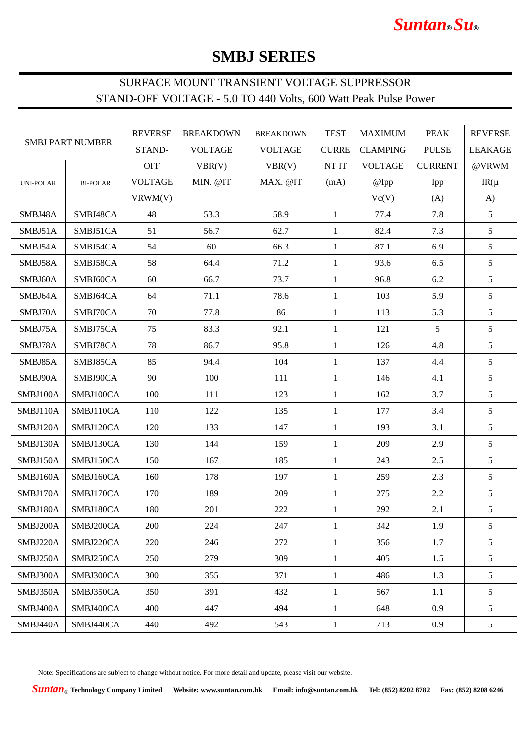# *Suntan***®** *Su***®**

# **SMBJ SERIES**

## SURFACE MOUNT TRANSIENT VOLTAGE SUPPRESSOR STAND-OFF VOLTAGE - 5.0 TO 440 Volts, 600 Watt Peak Pulse Power

| <b>SMBJ PART NUMBER</b> |                 | <b>REVERSE</b> | <b>BREAKDOWN</b> | <b>BREAKDOWN</b> | <b>TEST</b>    | <b>MAXIMUM</b>  | <b>PEAK</b>  | <b>REVERSE</b>  |
|-------------------------|-----------------|----------------|------------------|------------------|----------------|-----------------|--------------|-----------------|
|                         |                 | STAND-         | <b>VOLTAGE</b>   | <b>VOLTAGE</b>   | <b>CURRE</b>   | <b>CLAMPING</b> | <b>PULSE</b> | <b>LEAKAGE</b>  |
|                         | <b>OFF</b>      | VBR(V)         | VBR(V)           | NT IT            | <b>VOLTAGE</b> | <b>CURRENT</b>  | @VRWM        |                 |
| <b>UNI-POLAR</b>        | <b>BI-POLAR</b> | <b>VOLTAGE</b> | MIN. @IT         | MAX. @IT         | (mA)           | @Ipp            | Ipp          | $IR(\mu)$       |
|                         |                 | VRWM(V)        |                  |                  |                | Vc(V)           | (A)          | A)              |
| SMBJ48A                 | SMBJ48CA        | 48             | 53.3             | 58.9             | $\mathbf{1}$   | 77.4            | 7.8          | $5\overline{)}$ |
| SMBJ51A                 | SMBJ51CA        | 51             | 56.7             | 62.7             | $\mathbf{1}$   | 82.4            | 7.3          | $\sqrt{5}$      |
| SMBJ54A                 | SMBJ54CA        | 54             | 60               | 66.3             | 1              | 87.1            | 6.9          | 5               |
| SMBJ58A                 | SMBJ58CA        | 58             | 64.4             | 71.2             | $\mathbf{1}$   | 93.6            | 6.5          | 5               |
| SMBJ60A                 | SMBJ60CA        | 60             | 66.7             | 73.7             | $\mathbf{1}$   | 96.8            | 6.2          | 5               |
| SMBJ64A                 | SMBJ64CA        | 64             | 71.1             | 78.6             | $\mathbf{1}$   | 103             | 5.9          | 5               |
| SMBJ70A                 | SMBJ70CA        | 70             | 77.8             | 86               | 1              | 113             | 5.3          | 5               |
| SMBJ75A                 | SMBJ75CA        | 75             | 83.3             | 92.1             | 1              | 121             | 5            | 5               |
| SMBJ78A                 | SMBJ78CA        | 78             | 86.7             | 95.8             | 1              | 126             | 4.8          | 5               |
| SMBJ85A                 | SMBJ85CA        | 85             | 94.4             | 104              | $\mathbf{1}$   | 137             | 4.4          | 5               |
| SMBJ90A                 | SMBJ90CA        | 90             | 100              | 111              | $\mathbf{1}$   | 146             | 4.1          | 5               |
| SMBJ100A                | SMBJ100CA       | 100            | 111              | 123              | $\mathbf{1}$   | 162             | 3.7          | 5               |
| SMBJ110A                | SMBJ110CA       | 110            | 122              | 135              | $\mathbf{1}$   | 177             | 3.4          | 5               |
| SMBJ120A                | SMBJ120CA       | 120            | 133              | 147              | $\mathbf{1}$   | 193             | 3.1          | 5               |
| SMBJ130A                | SMBJ130CA       | 130            | 144              | 159              | $\mathbf{1}$   | 209             | 2.9          | 5               |
| SMBJ150A                | SMBJ150CA       | 150            | 167              | 185              | $\mathbf{1}$   | 243             | 2.5          | 5               |
| SMBJ160A                | SMBJ160CA       | 160            | 178              | 197              | $\mathbf{1}$   | 259             | 2.3          | 5               |
| SMBJ170A                | SMBJ170CA       | 170            | 189              | 209              | 1              | 275             | 2.2          | 5               |
| SMBJ180A                | SMBJ180CA       | 180            | 201              | 222              | 1              | 292             | 2.1          | 5               |
| SMBJ200A                | SMBJ200CA       | 200            | 224              | 247              | $\mathbf{1}$   | 342             | 1.9          | 5               |
| SMBJ220A                | SMBJ220CA       | 220            | 246              | 272              | $\mathbf{1}$   | 356             | 1.7          | 5               |
| SMBJ250A                | SMBJ250CA       | 250            | 279              | 309              | $\mathbf{1}$   | 405             | 1.5          | 5               |
| SMBJ300A                | SMBJ300CA       | 300            | 355              | 371              | $\mathbf{1}$   | 486             | 1.3          | 5               |
| SMBJ350A                | SMBJ350CA       | 350            | 391              | 432              | $\mathbf{1}$   | 567             | 1.1          | 5               |
| SMBJ400A                | SMBJ400CA       | 400            | 447              | 494              | $\mathbf{1}$   | 648             | 0.9          | 5               |
| SMBJ440A                | SMBJ440CA       | 440            | 492              | 543              | $\mathbf{1}$   | 713             | 0.9          | 5               |

Note: Specifications are subject to change without notice. For more detail and update, please visit our website.

*Suntan*® **Technology Company Limited Website: www.suntan.com.hk Email: info@suntan.com.hk Tel: (852) 8202 8782 Fax: (852) 8208 6246**